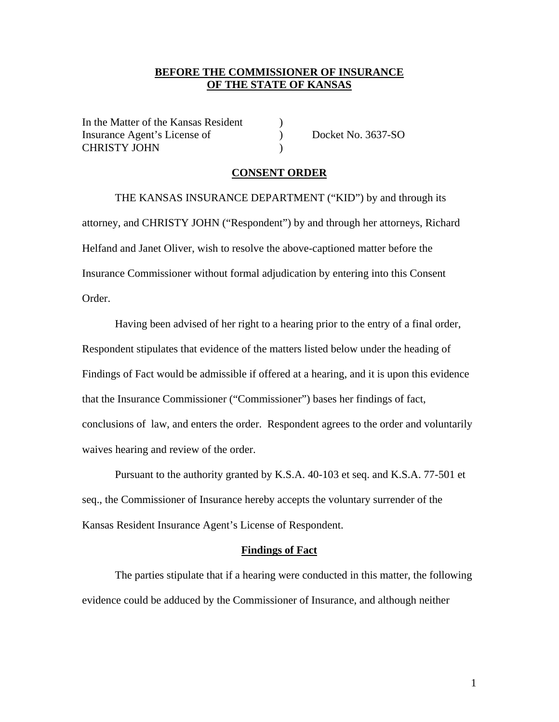### **BEFORE THE COMMISSIONER OF INSURANCE OF THE STATE OF KANSAS**

In the Matter of the Kansas Resident (1) Insurance Agent's License of (a) Docket No. 3637-SO CHRISTY JOHN )

### **CONSENT ORDER**

 THE KANSAS INSURANCE DEPARTMENT ("KID") by and through its attorney, and CHRISTY JOHN ("Respondent") by and through her attorneys, Richard Helfand and Janet Oliver, wish to resolve the above-captioned matter before the Insurance Commissioner without formal adjudication by entering into this Consent Order.

Having been advised of her right to a hearing prior to the entry of a final order, Respondent stipulates that evidence of the matters listed below under the heading of Findings of Fact would be admissible if offered at a hearing, and it is upon this evidence that the Insurance Commissioner ("Commissioner") bases her findings of fact, conclusions of law, and enters the order. Respondent agrees to the order and voluntarily waives hearing and review of the order.

Pursuant to the authority granted by K.S.A. 40-103 et seq. and K.S.A. 77-501 et seq., the Commissioner of Insurance hereby accepts the voluntary surrender of the Kansas Resident Insurance Agent's License of Respondent.

#### **Findings of Fact**

The parties stipulate that if a hearing were conducted in this matter, the following evidence could be adduced by the Commissioner of Insurance, and although neither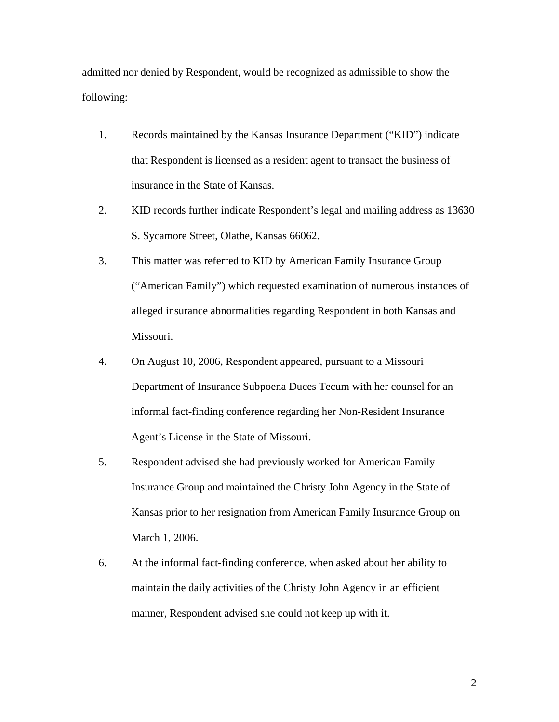admitted nor denied by Respondent, would be recognized as admissible to show the following:

- 1. Records maintained by the Kansas Insurance Department ("KID") indicate that Respondent is licensed as a resident agent to transact the business of insurance in the State of Kansas.
- 2. KID records further indicate Respondent's legal and mailing address as 13630 S. Sycamore Street, Olathe, Kansas 66062.
- 3. This matter was referred to KID by American Family Insurance Group ("American Family") which requested examination of numerous instances of alleged insurance abnormalities regarding Respondent in both Kansas and Missouri.
- 4. On August 10, 2006, Respondent appeared, pursuant to a Missouri Department of Insurance Subpoena Duces Tecum with her counsel for an informal fact-finding conference regarding her Non-Resident Insurance Agent's License in the State of Missouri.
- 5. Respondent advised she had previously worked for American Family Insurance Group and maintained the Christy John Agency in the State of Kansas prior to her resignation from American Family Insurance Group on March 1, 2006.
- 6. At the informal fact-finding conference, when asked about her ability to maintain the daily activities of the Christy John Agency in an efficient manner, Respondent advised she could not keep up with it.

2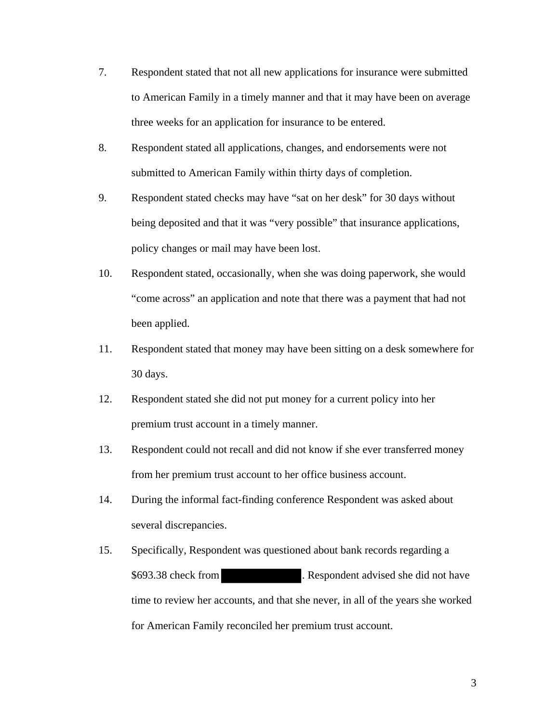- 7. Respondent stated that not all new applications for insurance were submitted to American Family in a timely manner and that it may have been on average three weeks for an application for insurance to be entered.
- 8. Respondent stated all applications, changes, and endorsements were not submitted to American Family within thirty days of completion.
- 9. Respondent stated checks may have "sat on her desk" for 30 days without being deposited and that it was "very possible" that insurance applications, policy changes or mail may have been lost.
- 10. Respondent stated, occasionally, when she was doing paperwork, she would "come across" an application and note that there was a payment that had not been applied.
- 11. Respondent stated that money may have been sitting on a desk somewhere for 30 days.
- 12. Respondent stated she did not put money for a current policy into her premium trust account in a timely manner.
- 13. Respondent could not recall and did not know if she ever transferred money from her premium trust account to her office business account.
- 14. During the informal fact-finding conference Respondent was asked about several discrepancies.
- 15. Specifically, Respondent was questioned about bank records regarding a \$693.38 check from . Respondent advised she did not have time to review her accounts, and that she never, in all of the years she worked for American Family reconciled her premium trust account.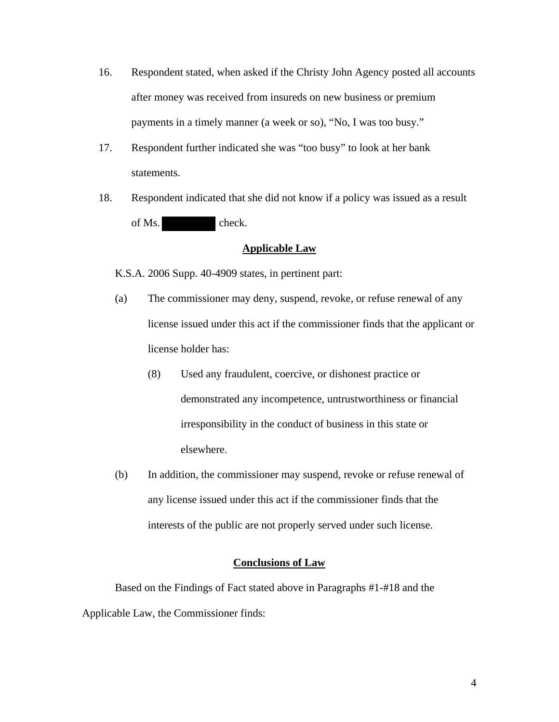- 16. Respondent stated, when asked if the Christy John Agency posted all accounts after money was received from insureds on new business or premium payments in a timely manner (a week or so), "No, I was too busy."
- 17. Respondent further indicated she was "too busy" to look at her bank statements.
- 18. Respondent indicated that she did not know if a policy was issued as a result of Ms. check.

### **Applicable Law**

K.S.A. 2006 Supp. 40-4909 states, in pertinent part:

- (a) The commissioner may deny, suspend, revoke, or refuse renewal of any license issued under this act if the commissioner finds that the applicant or license holder has:
	- (8) Used any fraudulent, coercive, or dishonest practice or demonstrated any incompetence, untrustworthiness or financial irresponsibility in the conduct of business in this state or elsewhere.
- (b) In addition, the commissioner may suspend, revoke or refuse renewal of any license issued under this act if the commissioner finds that the interests of the public are not properly served under such license.

### **Conclusions of Law**

Based on the Findings of Fact stated above in Paragraphs #1-#18 and the Applicable Law, the Commissioner finds: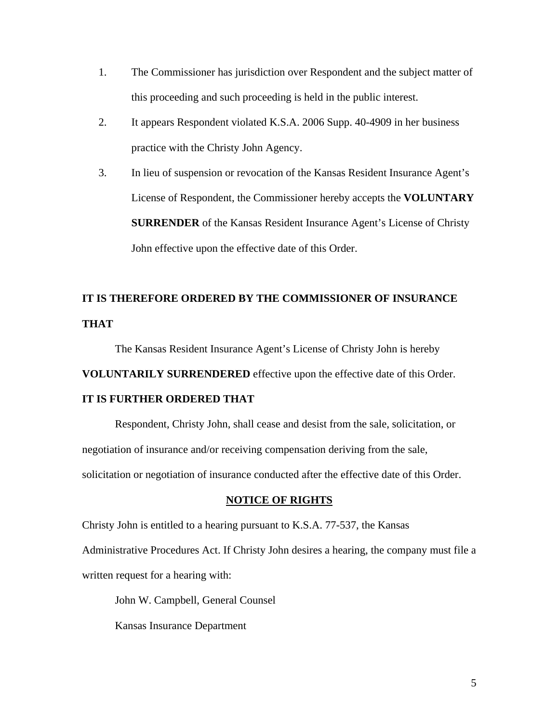- 1. The Commissioner has jurisdiction over Respondent and the subject matter of this proceeding and such proceeding is held in the public interest.
- 2. It appears Respondent violated K.S.A. 2006 Supp. 40-4909 in her business practice with the Christy John Agency.
- 3. In lieu of suspension or revocation of the Kansas Resident Insurance Agent's License of Respondent, the Commissioner hereby accepts the **VOLUNTARY SURRENDER** of the Kansas Resident Insurance Agent's License of Christy John effective upon the effective date of this Order.

# **IT IS THEREFORE ORDERED BY THE COMMISSIONER OF INSURANCE THAT**

The Kansas Resident Insurance Agent's License of Christy John is hereby **VOLUNTARILY SURRENDERED** effective upon the effective date of this Order. **IT IS FURTHER ORDERED THAT** 

Respondent, Christy John, shall cease and desist from the sale, solicitation, or negotiation of insurance and/or receiving compensation deriving from the sale, solicitation or negotiation of insurance conducted after the effective date of this Order.

### **NOTICE OF RIGHTS**

Christy John is entitled to a hearing pursuant to K.S.A. 77-537, the Kansas

Administrative Procedures Act. If Christy John desires a hearing, the company must file a written request for a hearing with:

John W. Campbell, General Counsel

Kansas Insurance Department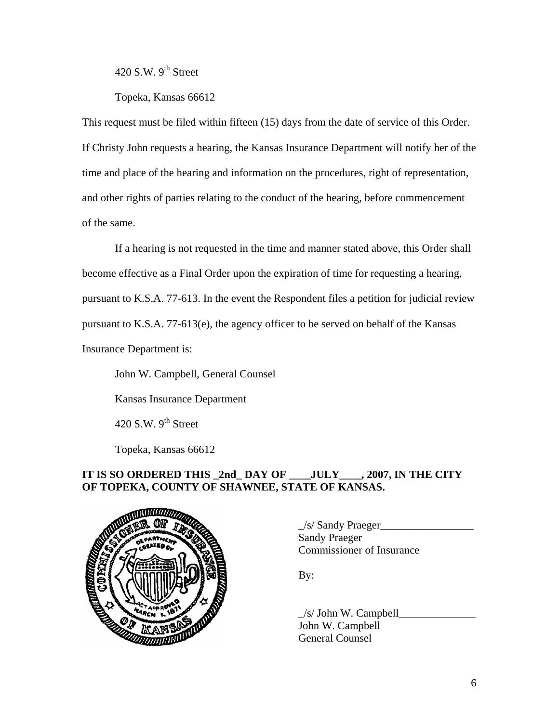420 S.W.  $9^{th}$  Street

Topeka, Kansas 66612

This request must be filed within fifteen (15) days from the date of service of this Order. If Christy John requests a hearing, the Kansas Insurance Department will notify her of the time and place of the hearing and information on the procedures, right of representation, and other rights of parties relating to the conduct of the hearing, before commencement of the same.

If a hearing is not requested in the time and manner stated above, this Order shall become effective as a Final Order upon the expiration of time for requesting a hearing, pursuant to K.S.A. 77-613. In the event the Respondent files a petition for judicial review pursuant to K.S.A. 77-613(e), the agency officer to be served on behalf of the Kansas Insurance Department is:

 John W. Campbell, General Counsel Kansas Insurance Department 420 S.W.  $9^{th}$  Street

Topeka, Kansas 66612

## **IT IS SO ORDERED THIS \_2nd\_ DAY OF \_\_\_\_JULY\_\_\_\_, 2007, IN THE CITY OF TOPEKA, COUNTY OF SHAWNEE, STATE OF KANSAS.**



 $\angle$ s/ Sandy Praeger $\angle$  Sandy Praeger Commissioner of Insurance

By:

 $\angle$ s/ John W. Campbell John W. Campbell General Counsel